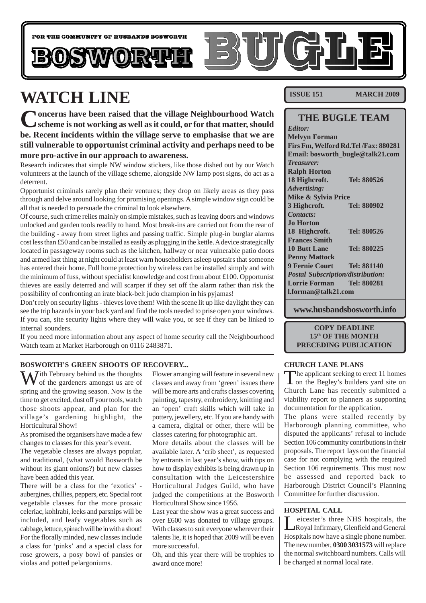

# **WATCH LINE**

**Concerns have been raised that the village Neighbourhood Watch scheme is not working as well as it could, or for that matter, should be. Recent incidents within the village serve to emphasise that we are still vulnerable to opportunist criminal activity and perhaps need to be more pro-active in our approach to awareness.**

Research indicates that simple NW window stickers, like those dished out by our Watch volunteers at the launch of the village scheme, alongside NW lamp post signs, do act as a deterrent.

Opportunist criminals rarely plan their ventures; they drop on likely areas as they pass through and delve around looking for promising openings. A simple window sign could be all that is needed to persuade the criminal to look elsewhere.

Of course, such crime relies mainly on simple mistakes, such as leaving doors and windows unlocked and garden tools readily to hand. Most break-ins are carried out from the rear of the building - away from street lights and passing traffic. Simple plug-in burglar alarms cost less than £50 and can be installed as easily as plugging in the kettle. A device strategically located in passageway rooms such as the kitchen, hallway or near vulnerable patio doors and armed last thing at night could at least warn householders asleep upstairs that someone has entered their home. Full home protection by wireless can be installed simply and with the minimum of fuss, without specialist knowledge and cost from about £100. Opportunist thieves are easily deterred and will scarper if they set off the alarm rather than risk the possibility of confronting an irate black-belt judo champion in his pyjamas!

Don't rely on security lights - thieves love them! With the scene lit up like daylight they can see the trip hazards in your back yard and find the tools needed to prise open your windows. If you can, site security lights where they will wake you, or see if they can be linked to internal sounders.

If you need more information about any aspect of home security call the Neighbourhood Watch team at Market Harborough on 0116 2483871.

### **BOSWORTH'S GREEN SHOOTS OF RECOVERY...**

 $\sum$  *T*ith February behind us the thoughts of the gardeners amongst us are of spring and the growing season. Now is the time to get excited, dust off your tools, watch those shoots appear, and plan for the village's gardening highlight, the Horticultural Show!

As promised the organisers have made a few changes to classes for this year's event.

The vegetable classes are always popular, and traditional, (what would Bosworth be without its giant onions?) but new classes have been added this year.

There will be a class for the 'exotics' aubergines, chillies, peppers, etc. Special root vegetable classes for the more prosaic celeriac, kohlrabi, leeks and parsnips will be included, and leafy vegetables such as cabbage, lettuce, spinach will be in with a shout! For the florally minded, new classes include a class for 'pinks' and a special class for rose growers, a posy bowl of pansies or violas and potted pelargoniums.

Flower arranging will feature in several new classes and away from 'green' issues there will be more arts and crafts classes covering painting, tapestry, embroidery, knitting and an 'open' craft skills which will take in pottery, jewellery, etc. If you are handy with a camera, digital or other, there will be classes catering for photographic art.

More details about the classes will be available later. A 'crib sheet', as requested by entrants in last year's show, with tips on how to display exhibits is being drawn up in consultation with the Leicestershire Horticultural Judges Guild, who have judged the competitions at the Bosworth Horticultural Show since 1956.

Last year the show was a great success and over £600 was donated to village groups. With classes to suit everyone wherever their talents lie, it is hoped that 2009 will be even more successful.

Oh, and this year there will be trophies to award once more!

**ISSUE 151 MARCH 2009** 

### **THE BUGLE TEAM**

*Editor:* **Melvyn Forman Firs Fm, Welford Rd.Tel /Fax: 880281 Email: bosworth\_bugle@talk21.com** *Treasurer:* **Ralph Horton 18 Highcroft. Tel: 880526** *Advertising:* **Mike & Sylvia Price 3 Highcroft. Tel: 880902** *Contacts:* **Jo Horton 18 Highcroft. Tel: 880526 Frances Smith 10 Butt Lane Tel: 880225 Penny Mattock 9 Fernie Court Tel: 881140** *Postal Subscription/distribution:* **Lorrie Forman Tel: 880281 l.forman@talk21.com**

**www.husbandsbosworth.info**

### **COPY DEADLINE 15th OF THE MONTH PRECEDING PUBLICATION**

### **CHURCH LANE PLANS**

The applicant seeking to erect 11 homes on the Begley's builders yard site on Church Lane has recently submitted a viability report to planners as supporting documentation for the application.

The plans were stalled recently by Harborough planning committee, who disputed the applicants' refusal to include Section 106 community contributions in their proposals. The report lays out the financial case for not complying with the required Section 106 requirements. This must now be assessed and reported back to Harborough District Council's Planning Committee for further discussion.

### **HOSPITAL CALL**

Leicester's three NHS hospitals, the<br>Royal Infirmary, Glenfield and General Hospitals now have a single phone number. The new number, **0300 3031573** will replace the normal switchboard numbers. Calls will be charged at normal local rate.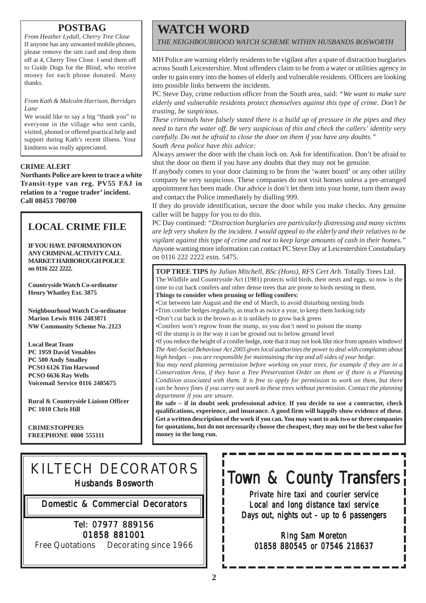### **POSTBAG**

*From Heather Lydall, Cherry Tree Close* If anyone has any unwanted mobile phones, please remove the sim card and drop them off at 4, Cherry Tree Close. I send them off to Guide Dogs for the Blind, who receive money for each phone donated. Many thanks.

*From Kath & Malcolm Harrison, Berridges Lane*

We would like to say a big "thank you" to everyone in the village who sent cards, visited, phoned or offered practical help and support during Kath's recent illness. Your kindness was really appreciated.

### **CRIME ALERT**

**Northants Police are keen to trace a white Transit-type van reg. PV55 FAJ in relation to a 'rogue trader' incident. Call 08453 700700**

### **LOCAL CRIME FILE**

**IF YOU HAVE INFORMATION ON ANY CRIMINAL ACTIVITY CALL MARKET HARBOROUGH POLICE on 0116 222 2222.**

**Countryside Watch Co-ordinator Henry Whatley Ext. 3875**

**Neighbourhood Watch Co-ordinator Marion Lewis 0116 2483871 NW Community Scheme No. 2123**

**Local Beat Team PC 1959 David Venables PC 500 Andy Smalley PCSO 6126 Tim Harwood PCSO 6636 Ray Wells Voicemail Service 0116 2485675**

**Rural & Countryside Liaison Officer PC 1010 Chris Hill**

**CRIMESTOPPERS FREEPHONE 0800 555111**

# **WATCH WORD**

*THE NEIGHBOURHOOD WATCH SCHEME WITHIN HUSBANDS BOSWORTH*

MH Police are warning elderly residents to be vigilant after a spate of distraction burglaries across South Leicestershire. Most offenders claim to be from a water or utilities agency in order to gain entry into the homes of elderly and vulnerable residents. Officers are looking into possible links between the incidents.

PC Steve Day, crime reduction officer from the South area, said: *"We want to make sure elderly and vulnerable residents protect themselves against this type of crime. Don't be trusting, be suspicious.*

*These criminals have falsely stated there is a build up of pressure in the pipes and they need to turn the water off. Be very suspicious of this and check the callers' identity very carefully. Do not be afraid to close the door on them if you have any doubts." South Area police have this advice:*

Always answer the door with the chain lock on. Ask for identification. Don't be afraid to shut the door on them if you have any doubts that they may not be genuine.

If anybody comes to your door claiming to be from the 'water board' or any other utility company be very suspicious. These companies do not visit homes unless a pre-arranged appointment has been made. Our advice is don't let them into your home, turn them away and contact the Police immediately by dialling 999.

If they do provide identification, secure the door while you make checks. Any genuine caller will be happy for you to do this.

PC Day continued: *"Distraction burglaries are particularly distressing and many victims are left very shaken by the incident. I would appeal to the elderly and their relatives to be vigilant against this type of crime and not to keep large amounts of cash in their homes."* Anyone wanting more information can contact PC Steve Day at Leicestershire Constabulary on 0116 222 2222 extn. 5475.

**TOP TREE TIPS** *by Julian Mitchell, BSc (Hons), RFS Cert Arb.* Totally Trees Ltd. The Wildlife and Countryside Act (1981) protects wild birds, their nests and eggs, so now is the time to cut back conifers and other dense trees that are prone to birds nesting in them. **Things to consider when pruning or felling conifers:**

•Cut between late August and the end of March, to avoid disturbing nesting birds •Trim conifer hedges regularly, as much as twice a year, to keep them looking tidy

•Don't cut back to the brown as it is unlikely to grow back green

•Conifers won't regrow from the stump, so you don't need to poison the stump

•If the stump is in the way it can be ground out to below ground level

•If you reduce the height of a conifer hedge, note that it may not look like nice from upstairs windows! *The Anti-Social Behaviour Act 2003 gives local authorities the power to deal with complaints about high hedges – you are responsible for maintaining the top and all sides of your hedge.*

*You may need planning permission before working on your trees, for example if they are in a Conservation Area, if they have a Tree Preservation Order on them or if there is a Planning Condition associated with them. It is free to apply for permission to work on them, but there can be heavy fines if you carry out work to these trees without permission. Contact the planning department if you are unsure.*

**Be safe – if in doubt seek professional advice. If you decide to use a contractor, check qualifications, experience, and insurance. A good firm will happily show evidence of these. Get a written description of the work if you can. You may want to ask two or three companies for quotations, but do not necessarily choose the cheapest, they may not be the best value for money in the long run.**

# KILTECH DECORATORS

Husbands Bosworth

Domestic & Commercial Decorators

### Tel: 07977 889156 01858 881001

Free Quotations Decorating since 1966

# Town & County Transfers

Private hire taxi and courier service Local and long distance taxi service Days out, nights out - up to 6 passengers

Ring Sam Moreton 01858 880545 or 07546 218637

П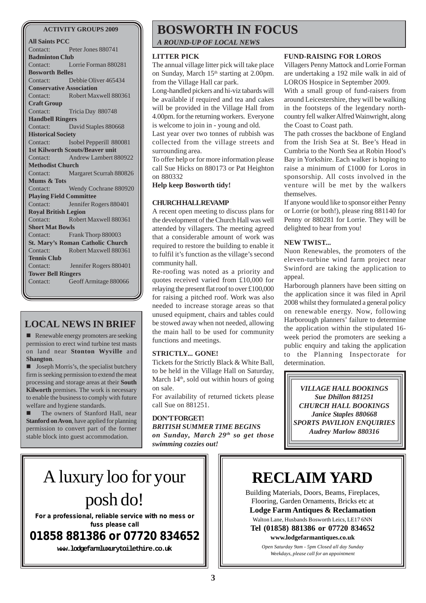#### **ACTIVITY GROUPS 2009**

**All Saints PCC** Contact: Peter Jones 880741 **Badminton Club** Contact: Lorrie Forman 880281 **Bosworth Belles** Contact: Debbie Oliver 465434 **Conservative Association** Contact: Robert Maxwell 880361 **Craft Group** Contact: Tricia Day 880748 **Handbell Ringers** Contact: David Staples 880668 **Historical Society** Contact: Isobel Pepperill 880081 **1st Kilworth Scouts/Beaver unit** Contact: Andrew Lambert 880922 **Methodist Church** Contact: Margaret Scurrah 880826 **Mums & Tots** Contact: Wendy Cochrane 880920 **Playing Field Committee** Contact: Jennifer Rogers 880401 **Royal British Legion** Contact: Robert Maxwell 880361 **Short Mat Bowls** Contact: Frank Thorp 880003 **St. Mary's Roman Catholic Church** Contact: Robert Maxwell 880361 **Tennis Club** Contact: Jennifer Rogers 880401 **Tower Bell Ringers** Contact: Geoff Armitage 880066

### **LOCAL NEWS IN BRIEF**

**E** Renewable energy promoters are seeking permission to erect wind turbine test masts on land near **Stonton Wyville** and **Shangton**.

**I** Joseph Morris's, the specialist butchery firm is seeking permission to extend the meat processing and storage areas at their **South Kilworth** premises. The work is necessary to enable the business to comply with future welfare and hygiene standards.

The owners of Stanford Hall, near **Stanford on Avon**, have applied for planning permission to convert part of the former stable block into guest accommodation.

# **BOSWORTH IN FOCUS**

*A ROUND-UP OF LOCAL NEWS*

### **LITTER PICK**

The annual village litter pick will take place on Sunday, March 15<sup>th</sup> starting at 2.00pm. from the Village Hall car park.

Long-handled pickers and hi-viz tabards will be available if required and tea and cakes will be provided in the Village Hall from 4.00pm. for the returning workers. Everyone is welcome to join in - young and old.

Last year over two tonnes of rubbish was collected from the village streets and surrounding area.

To offer help or for more information please call Sue Hicks on 880173 or Pat Heighton on 880332

**Help keep Bosworth tidy!**

### **CHURCH HALL REVAMP**

A recent open meeting to discuss plans for the development of the Church Hall was well attended by villagers. The meeting agreed that a considerable amount of work was required to restore the building to enable it to fulfil it's function as the village's second community hall.

Re-roofing was noted as a priority and quotes received varied from £10,000 for relaying the present flat roof to over £100,000 for raising a pitched roof. Work was also needed to increase storage areas so that unused equipment, chairs and tables could be stowed away when not needed, allowing the main hall to be used for community functions and meetings.

### **STRICTLY... GONE!**

Tickets for the Strictly Black & White Ball, to be held in the Village Hall on Saturday, March  $14<sup>th</sup>$ , sold out within hours of going on sale.

For availability of returned tickets please call Sue on 881251.

**DON'T FORGET!** *BRITISH SUMMER TIME BEGINS on Sunday, March 29th so get those swimming cozzies out!*

### **FUND-RAISING FOR LOROS**

Villagers Penny Mattock and Lorrie Forman are undertaking a 192 mile walk in aid of LOROS Hospice in September 2009.

With a small group of fund-raisers from around Leicestershire, they will be walking in the footsteps of the legendary northcountry fell walker Alfred Wainwright, along the Coast to Coast path.

The path crosses the backbone of England from the Irish Sea at St. Bee's Head in Cumbria to the North Sea at Robin Hood's Bay in Yorkshire. Each walker is hoping to raise a minimum of £1000 for Loros in sponsorship. All costs involved in the venture will be met by the walkers themselves.

If anyone would like to sponsor either Penny or Lorrie (or both!), please ring 881140 for Penny or 880281 for Lorrie. They will be delighted to hear from you!

### **NEW TWIST...**

Nuon Renewables, the promoters of the eleven-turbine wind farm project near Swinford are taking the application to appeal.

Harborough planners have been sitting on the application since it was filed in April 2008 whilst they formulated a general policy on renewable energy. Now, following Harborough planners' failure to determine the application within the stipulated 16 week period the promoters are seeking a public enquiry and taking the application to the Planning Inspectorate for determination.

*VILLAGE HALL BOOKINGS Sue Dhillon 881251 CHURCH HALL BOOKINGS Janice Staples 880668 SPORTS PAVILION ENQUIRIES Audrey Marlow 880316*

# A luxury loo for your posh do!

**For a professional, reliable service with no mess or fuss please call**

**01858 881386 or 07720 834652**

**www.lodgefarmluxurytoilethire.co.uk**

# **RECLAIM YARD**

Building Materials, Doors, Beams, Fireplaces, Flooring, Garden Ornaments, Bricks etc at **Lodge Farm Antiques & Reclamation** Walton Lane, Husbands Bosworth Leics, LE17 6NN **Tel (01858) 881386 or 07720 834652**

**www.lodgefarmantiques.co.uk** *Open Saturday 9am - 5pm Closed all day Sunday Weekdays, please call for an appointment*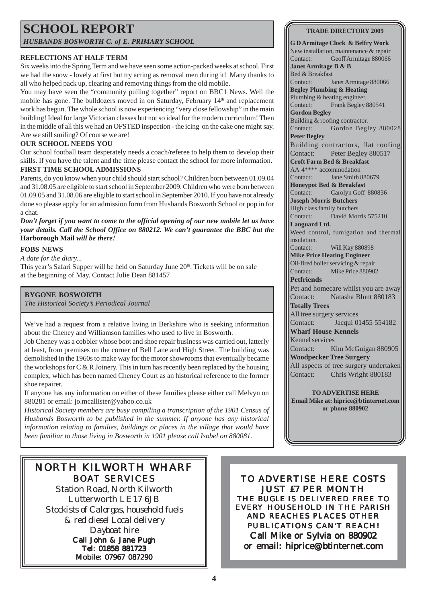### **SCHOOL REPORT** *HUSBANDS BOSWORTH C. of E. PRIMARY SCHOOL*

### **REFLECTIONS AT HALF TERM**

Six weeks into the Spring Term and we have seen some action-packed weeks at school. First we had the snow - lovely at first but try acting as removal men during it! Many thanks to all who helped pack up, clearing and removing things from the old mobile.

You may have seen the "community pulling together" report on BBC1 News. Well the mobile has gone. The bulldozers moved in on Saturday, February 14<sup>th</sup> and replacement work has begun. The whole school is now experiencing "very close fellowship" in the main building! Ideal for large Victorian classes but not so ideal for the modern curriculum! Then in the middle of all this we had an OFSTED inspection - the icing on the cake one might say. Are we still smiling? Of course we are!

### **OUR SCHOOL NEEDS YOU**

**FIRST TIME SCHOOL ADMISSIONS** Our school football team desperately needs a coach/referee to help them to develop their skills. If you have the talent and the time please contact the school for more information.

Parents, do you know when your child should start school? Children born between 01.09.04 and 31.08.05 are eligible to start school in September 2009. Children who were born between 01.09.05 and 31.08.06 are eligible to start school in September 2010. If you have not already done so please apply for an admission form from Husbands Bosworth School or pop in for a chat.

*Don't forget if you want to come to the official opening of our new mobile let us have your details. Call the School Office on 880212. We can't guarantee the BBC but the* **Harborough Mail** *will be there!*

### **FOBS NEWS**

### *A date for the diary...*

This year's Safari Supper will be held on Saturday June 20<sup>th</sup>. Tickets will be on sale at the beginning of May. Contact Julie Dean 881457

### **BYGONE BOSWORTH**

*The Historical Society's Periodical Journal*

We've had a request from a relative living in Berkshire who is seeking information about the Cheney and Williamson families who used to live in Bosworth.

Job Cheney was a cobbler whose boot and shoe repair business was carried out, latterly at least, from premises on the corner of Bell Lane and High Street. The building was demolished in the 1960s to make way for the motor showrooms that eventually became the workshops for  $C \& R$  Joinery. This in turn has recently been replaced by the housing complex, which has been named Cheney Court as an historical reference to the former shoe repairer.

If anyone has any information on either of these families please either call Melvyn on 880281 or email: jo.mcallister@yahoo.co.uk

*Historical Society members are busy compiling a transcription of the 1901 Census of Husbands Bosworth to be published in the summer. If anyone has any historical information relating to families, buildings or places in the village that would have been familiar to those living in Bosworth in 1901 please call Isobel on 880081.*

### NORTH KILWORTH WHARF BOAT SERVICES

Station Road, North Kilworth Lutterworth LE17 6JB *Stockists of Calorgas, household fuels & red diesel Local delivery Dayboat hire* Call John & Jane Pugh Tel: 01858 881723 Mobile: 07967 087290

TO ADVERTISE HERE COSTS JUST £7 PER MONTH THE *BUGLE* IS DELIVERED FREE TO EVERY HOUSEHOLD IN THE PARISH AND REACHES PLACES OTHER PUBLICATIONS CAN'T REACH! Call Mike or Sylvia on 880902 or email: hiprice@btinternet.com

#### **TRADE DIRECTORY 2009**

**G D Armitage Clock & Belfry Work** New installation, maintenance & repair Contact: Geoff Armitage 880066

**Janet Armitage B & B** Bed & Breakfast

Contact: Janet Armitage 880066

**Begley Plumbing & Heating**

Plumbing & heating engineer. Contact: Frank Begley 880541

**Gordon Begley** Building & roofing contractor.

Contact: Gordon Begley 880028

**Peter Begley**

Building contractors, flat roofing Contact: Peter Begley 880517

**Croft Farm Bed & Breakfast**

AA 4\*\*\*\* accommodation

Contact: Jane Smith 880679 **Honeypot Bed & Breakfast** Contact: Carolyn Goff 880836

**Joseph Morris Butchers**

High class family butchers Contact: David Morris 575210

**Languard Ltd.**

Weed control, fumigation and thermal insulation.

Contact: Will Kay 880898 **Mike Price Heating Engineer**

Oil-fired boiler servicing & repair Contact: Mike Price 880902

**Petfriends** Pet and homecare whilst you are away Contact: Natasha Blunt 880183

**Totally Trees** All tree surgery services

Contact: Jacqui 01455 554182

**Wharf House Kennels**

Kennel services Contact: Kim McGuigan 880905 **Woodpecker Tree Surgery** All aspects of tree surgery undertaken

Contact: Chris Wright 880183

**TO ADVERTISE HERE Email Mike at: hiprice@btinternet.com or phone 880902**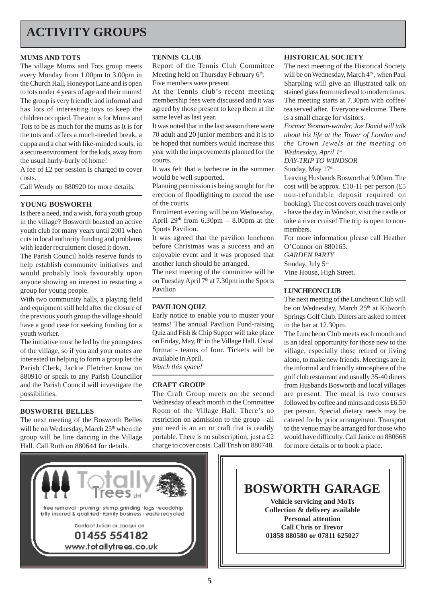# **ACTIVITY GROUPS**

### **MUMS AND TOTS**

The village Mums and Tots group meets every Monday from 1.00pm to 3.00pm in the Church Hall, Honeypot Lane and is open to tots under 4 years of age and their mums! The group is very friendly and informal and has lots of interesting toys to keep the children occupied. The aim is for Mums and Tots to be as much for the mums as it is for the tots and offers a much-needed break, a cuppa and a chat with like-minded souls, in a secure environment for the kids, away from the usual hurly-burly of home!

A fee of £2 per session is charged to cover costs.

Call Wendy on 880920 for more details.

#### **YOUNG BOSWORTH**

Is there a need, and a wish, for a youth group in the village? Bosworth boasted an active youth club for many years until 2001 when cuts in local authority funding and problems with leader recruitment closed it down.

The Parish Council holds reserve funds to help establish community initiatives and would probably look favourably upon anyone showing an interest in restarting a group for young people.

With two community halls, a playing field and equipment still held after the closure of the previous youth group the village should have a good case for seeking funding for a youth worker.

The initiative must be led by the youngsters of the village, so if you and your mates are interested in helping to form a group let the Parish Clerk, Jackie Fletcher know on 880910 or speak to any Parish Councillor and the Parish Council will investigate the possibilities.

#### **BOSWORTH BELLES**

The next meeting of the Bosworth Belles will be on Wednesday, March 25<sup>th</sup> when the group will be line dancing in the Village Hall. Call Ruth on 880644 for details.

#### **TENNIS CLUB**

Report of the Tennis Club Committee Meeting held on Thursday February 6th. Five members were present.

At the Tennis club's recent meeting membership fees were discussed and it was agreed by those present to keep them at the same level as last year.

It was noted that in the last season there were 70 adult and 20 junior members and it is to be hoped that numbers would increase this year with the improvements planned for the courts.

It was felt that a barbecue in the summer would be well supported.

Planning permission is being sought for the erection of floodlighting to extend the use of the courts.

Enrolment evening will be on Wednesday, April  $29<sup>th</sup>$  from 6.30pm – 8.00pm at the Sports Pavilion.

It was agreed that the pavilion luncheon before Christmas was a success and an enjoyable event and it was proposed that another lunch should be arranged.

The next meeting of the committee will be on Tuesday April 7<sup>th</sup> at 7.30pm in the Sports Pavilion

### **PAVILION QUIZ**

Early notice to enable you to muster your teams! The annual Pavilion Fund-raising Quiz and Fish & Chip Supper will take place on Friday, May, 8<sup>th</sup> in the Village Hall. Usual format - teams of four. Tickets will be available in April. *Watch this space!*

### **CRAFT GROUP**

The Craft Group meets on the second Wednesday of each month in the Committee Room of the Village Hall. There's no restriction on admission to the group - all you need is an art or craft that is readily portable. There is no subscription, just a £2 charge to cover costs. Call Trish on 880748.

#### **HISTORICAL SOCIETY**

The next meeting of the Historical Society will be on Wednesday, March 4<sup>th</sup>, when Paul Sharpling will give an illustrated talk on stained glass from medieval to modern times. The meeting starts at 7.30pm with coffee/ tea served after. Everyone welcome. There is a small charge for visitors.

*Former Yeoman-warder, Joe David will talk about his life at the Tower of London and the Crown Jewels at the meeting on Wednesday, April 1st.*

*DAY-TRIP TO WINDSOR*

### Sunday, May 17th

Leaving Husbands Bosworth at 9.00am. The cost will be approx. £10-11 per person  $(f5)$ non-refundable deposit required on booking). The cost covers coach travel only - have the day in Windsor, visit the castle or take a river cruise! The trip is open to nonmembers.

For more information please call Heather O'Connor on 880165.

*GARDEN PARTY*

Sunday, July 5<sup>th</sup>

Vine House, High Street.

#### **LUNCHEON CLUB**

The next meeting of the Luncheon Club will be on Wednesday, March 25<sup>th</sup> at Kilworth Springs Golf Club. Diners are asked to meet in the bar at 12.30pm.

The Luncheon Club meets each month and is an ideal opportunity for those new to the village, especially those retired or living alone, to make new friends. Meetings are in the informal and friendly atmosphere of the golf club restaurant and usually 35-40 diners from Husbands Bosworth and local villages are present. The meal is two courses followed by coffee and mints and costs £6.50 per person. Special dietary needs may be catered for by prior arrangement. Transport to the venue may be arranged for those who would have difficulty. Call Janice on 880668 for more details or to book a place.



**BOSWORTH GARAGE Vehicle servicing and MoTs Collection & delivery available Personal attention Call Chris or Trevor 01858 880580 or 07811 625027**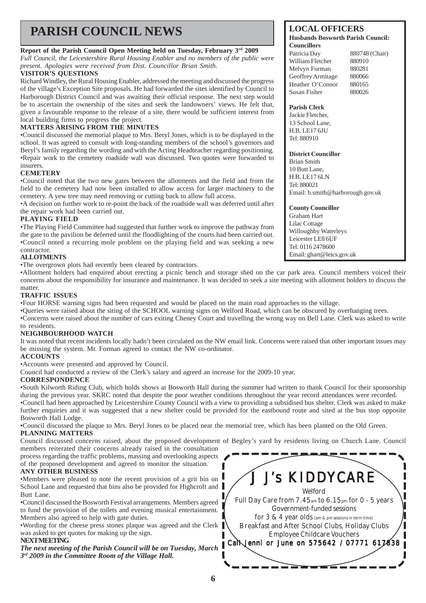# **PARISH COUNCIL NEWS LOCAL OFFICERS**

### **Report of the Parish Council Open Meeting held on Tuesday, February 3rd 2009**

*Full Council, the Leicestershire Rural Housing Enabler and no members of the public were present. Apologies were received from Dist. Councillor Brian Smith.*

### **VISITOR'S QUESTIONS**

Richard Windley, the Rural Housing Enabler, addressed the meeting and discussed the progress of the village's Exception Site proposals. He had forwarded the sites identified by Council to Harborough District Council and was awaiting their official response. The next step would be to ascertain the ownership of the sites and seek the landowners' views. He felt that, given a favourable response to the release of a site, there would be sufficient interest from local building firms to progress the project.

### **MATTERS ARISING FROM THE MINUTES**

•Council discussed the memorial plaque to Mrs. Beryl Jones, which is to be displayed in the school. It was agreed to consult with long-standing members of the school's governors and Beryl's family regarding the wording and with the Acting Headteacher regarding positioning. •Repair work to the cemetery roadside wall was discussed. Two quotes were forwarded to insurers.

### **CEMETERY**

•Council noted that the two new gates between the allotments and the field and from the field to the cemetery had now been installed to allow access for larger machinery to the cemetery. A yew tree may need removing or cutting back to allow full access.

•A decision on further work to re-point the back of the roadside wall was deferred until after the repair work had been carried out.

### **PLAYING FIELD**

•The Playing Field Committee had suggested that further work to improve the pathway from the gate to the pavilion be deferred until the floodlighting of the courts had been carried out. •Council noted a recurring mole problem on the playing field and was seeking a new contractor.

### **ALLOTMENTS**

•The overgrown plots had recently been cleared by contractors.

•Allotment holders had enquired about erecting a picnic bench and storage shed on the car park area. Council members voiced their concerns about the responsibility for insurance and maintenance. It was decided to seek a site meeting with allotment holders to discuss the matter.

### **TRAFFIC ISSUES**

•Four HORSE warning signs had been requested and would be placed on the main road approaches to the village.

•Queries were raised about the siting of the SCHOOL warning signs on Welford Road, which can be obscured by overhanging trees.

•Concerns were raised about the number of cars exiting Cheney Court and travelling the wrong way on Bell Lane. Clerk was asked to write to residents.

### **NEIGHBOURHOOD WATCH**

It was noted that recent incidents locally hadn't been circulated on the NW email link. Concerns were raised that other important issues may be missing the system. Mr. Forman agreed to contact the NW co-ordinator.

### **ACCOUNTS**

•Accounts were presented and approved by Council.

Council had conducted a review of the Clerk's salary and agreed an increase for the 2009-10 year.

### **CORRESPONDENCE**

•South Kilworth Riding Club, which holds shows at Bosworth Hall during the summer had written to thank Council for their sponsorship during the previous year. SKRC noted that despite the poor weather conditions throughout the year record attendances were recorded. •Council had been approached by Leicestershire County Council with a view to providing a subsidised bus shelter. Clerk was asked to make further enquiries and it was suggested that a new shelter could be provided for the eastbound route and sited at the bus stop opposite Bosworth Hall Lodge.

•Council discussed the plaque to Mrs. Beryl Jones to be placed near the memorial tree, which has been planted on the Old Green. **PLANNING MATTERS**

Council discussed concerns raised, about the proposed development of Begley's yard by residents living on Church Lane. Council members reiterated their concerns already raised in the consultation

process regarding the traffic problems, massing and overlooking aspects of the proposed development and agreed to monitor the situation.

### **ANY OTHER BUSINESS**

•Members were pleased to note the recent provision of a grit bin on School Lane and requested that bins also be provided for Highcroft and Butt Lane.

•Council discussed the Bosworth Festival arrangements. Members agreed to fund the provision of the toilets and evening musical entertainment. Members also agreed to help with gate duties.

•Wording for the cheese press stones plaque was agreed and the Clerk was asked to get quotes for making up the sign.

### **NEXT MEETING**

*The next meeting of the Parish Council will be on Tuesday, March 3rd 2009 in the Committee Room of the Village Hall.*



### **Husbands Bosworth Parish Council:**

| 880748 (Chair) |
|----------------|
| 880910         |
| 880281         |
| 880066         |
| 880165         |
| 880026         |
|                |

### **Parish Clerk**

Jackie Fletcher, 13 School Lane, H.B. LE17 6JU Tel: 880910

#### **District Councillor**

Brian Smith 10 Butt Lane, H.B. LE17 6LN Tel: 880021 Email: b.smith@harborough.gov.uk

### **County Councillor**

Graham Hart Lilac Cottage Willoughby Waterleys Leicester LE8 6UF Tel: 0116 2478600 Email: ghart@leics.gov.uk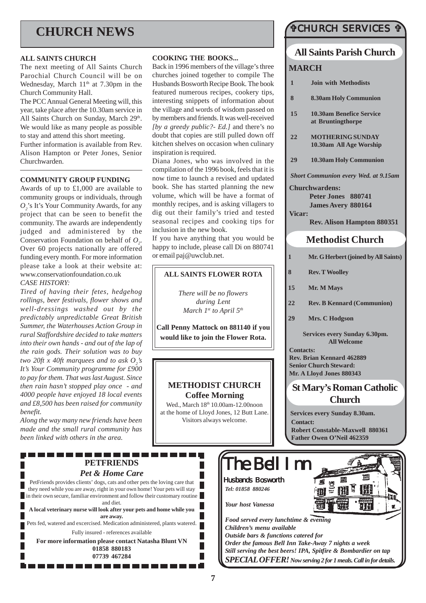# **CHURCH NEWS**

#### **ALL SAINTS CHURCH**

The next meeting of All Saints Church Parochial Church Council will be on Wednesday, March  $11<sup>th</sup>$  at 7.30pm in the Church Community Hall.

The PCC Annual General Meeting will, this year, take place after the 10.30am service in All Saints Church on Sunday, March 29th. We would like as many people as possible to stay and attend this short meeting. Further information is available from Rev. Alison Hampton or Peter Jones, Senior Churchwarden.

#### **COMMUNITY GROUP FUNDING**

Awards of up to £1,000 are available to community groups or individuals, through *O2* 's It's Your Community Awards, for any project that can be seen to benefit the community. The awards are independently judged and administered by the Conservation Foundation on behalf of  $O_2$ . Over 60 projects nationally are offered funding every month. For more information please take a look at their website at: www.conservationfoundation.co.uk *CASE HISTORY:*

*Tired of having their fetes, hedgehog rollings, beer festivals, flower shows and well-dressings washed out by the predictably unpredictable Great British Summer, the Waterhouses Action Group in rural Staffordshire decided to take matters into their own hands - and out of the lap of the rain gods. Their solution was to buy two 20ft x 40ft marquees and to ask*  $O_2$ *'s It's Your Community programme for £900 to pay for them. That was last August. Since then rain hasn't stopped play once - and 4000 people have enjoyed 18 local events and £8,500 has been raised for community benefit.*

*Along the way many new friends have been made and the small rural community has been linked with others in the area.*

-------------

### **COOKING THE BOOKS...**

Back in 1996 members of the village's three churches joined together to compile The Husbands Bosworth Recipe Book. The book featured numerous recipes, cookery tips, interesting snippets of information about the village and words of wisdom passed on by members and friends. It was well-received *[by a greedy public?- Ed.]* and there's no doubt that copies are still pulled down off kitchen shelves on occasion when culinary inspiration is required.

Diana Jones, who was involved in the compilation of the 1996 book, feels that it is now time to launch a revised and updated book. She has started planning the new volume, which will be have a format of monthly recipes, and is asking villagers to dig out their family's tried and tested seasonal recipes and cooking tips for inclusion in the new book.

If you have anything that you would be happy to include, please call Di on 880741 or email paj@uwclub.net.

### **ALL SAINTS FLOWER ROTA**

*There will be no flowers during Lent March 1st to April 5th*

**Call Penny Mattock on 881140 if you would like to join the Flower Rota.**

### **METHODIST CHURCH Coffee Morning**

Wed., March 18<sup>th</sup> 10.00am-12.00noon at the home of Lloyd Jones, 12 Butt Lane. Visitors always welcome.

 $\Box$ 

The Bell Inn

*Food served every lunchtime & evening*

*Order the famous Bell Inn Take-Away 7 nights a week Still serving the best beers! IPA, Spitfire & Bombardier on tap SPECIAL OFFER! Now serving 2 for 1 meals. Call in for details.*

*Outside bars & functions catered for*

Husbands Bosworth *Tel: 01858 880246*

*Your host Vanessa*

*Children's menu available*

### #CHURCH SERVICES #

### **All Saints Parish Church**

### **MARCH**

**Methodist Church 1 Mr. G Herbert (joined by All Saints) 8 Rev. T Woolley 15 Mr. M Mays 22 Rev. B Kennard (Communion) 29 Mrs. C Hodgson 1 Join with Methodists 8 8.30am Holy Communion 15 10.30am Benefice Service at Bruntingthorpe 22 MOTHERING SUNDAY 10.30am All Age Worship 29 10.30am Holy Communion** *Short Communion every Wed. at 9.15am* **Churchwardens: Peter Jones 880741 James Avery 880164 Vicar: Rev. Alison Hampton 880351**

> **Services every Sunday 6.30pm. All Welcome**

**Contacts: Rev. Brian Kennard 462889 Senior Church Steward: Mr. A Lloyd Jones 880343**

### **St Mary's Roman Catholic Church**

**Services every Sunday 8.30am. Contact: Robert Constable-Maxwell 880361 Father Owen O'Neil 462359**

**PETFRIENDS** *Pet & Home Care*

PetFriends provides clients' dogs, cats and other pets the loving care that they need while you are away, right in your own home! Your pets will stay in their own secure, familiar environment and follow their customary routine and diet. **A local veterinary nurse will look after your pets and home while you are away.** Pets fed, watered and excercised. Medication administered, plants watered. Fully insured - references available **For more information please contact Natasha Blunt VN 01858 880183 07739 467284**

. . . . . . . . . . . . . .